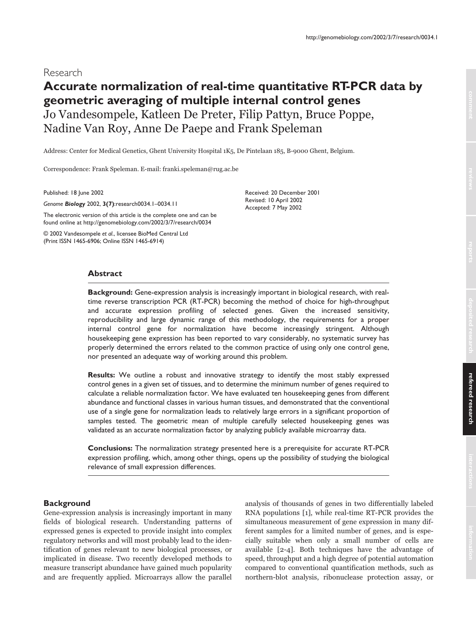# **Accurate normalization of real-time quantitative RT-PCR data by geometric averaging of multiple internal control genes** Jo Vandesompele, Katleen De Preter, Filip Pattyn, Bruce Poppe, Nadine Van Roy, Anne De Paepe and Frank Speleman

Address: Center for Medical Genetics, Ghent University Hospital 1K5, De Pintelaan 185, B-9000 Ghent, Belgium.

Correspondence: Frank Speleman. E-mail: franki.speleman@rug.ac.be

Published: 18 June 2002

*Genome Biology* 2002, **3(7)**:research0034.1–0034.11

The electronic version of this article is the complete one and can be found online at http://genomebiology.com/2002/3/7/research/0034

© 2002 Vandesompele *et al*., licensee BioMed Central Ltd (Print ISSN 1465-6906; Online ISSN 1465-6914)

Received: 20 December 2001 Revised: 10 April 2002 Accepted: 7 May 2002

# **Abstract**

**Background:** Gene-expression analysis is increasingly important in biological research, with realtime reverse transcription PCR (RT-PCR) becoming the method of choice for high-throughput and accurate expression profiling of selected genes. Given the increased sensitivity, reproducibility and large dynamic range of this methodology, the requirements for a proper internal control gene for normalization have become increasingly stringent. Although housekeeping gene expression has been reported to vary considerably, no systematic survey has properly determined the errors related to the common practice of using only one control gene, nor presented an adequate way of working around this problem.

**Results:** We outline a robust and innovative strategy to identify the most stably expressed control genes in a given set of tissues, and to determine the minimum number of genes required to calculate a reliable normalization factor. We have evaluated ten housekeeping genes from different abundance and functional classes in various human tissues, and demonstrated that the conventional use of a single gene for normalization leads to relatively large errors in a significant proportion of samples tested. The geometric mean of multiple carefully selected housekeeping genes was validated as an accurate normalization factor by analyzing publicly available microarray data.

**Conclusions:** The normalization strategy presented here is a prerequisite for accurate RT-PCR expression profiling, which, among other things, opens up the possibility of studying the biological relevance of small expression differences.

# **Background**

Gene-expression analysis is increasingly important in many fields of biological research. Understanding patterns of expressed genes is expected to provide insight into complex regulatory networks and will most probably lead to the identification of genes relevant to new biological processes, or implicated in disease. Two recently developed methods to measure transcript abundance have gained much popularity and are frequently applied. Microarrays allow the parallel analysis of thousands of genes in two differentially labeled RNA populations [1], while real-time RT-PCR provides the simultaneous measurement of gene expression in many different samples for a limited number of genes, and is especially suitable when only a small number of cells are available [2-4]. Both techniques have the advantage of speed, throughput and a high degree of potential automation compared to conventional quantification methods, such as northern-blot analysis, ribonuclease protection assay, or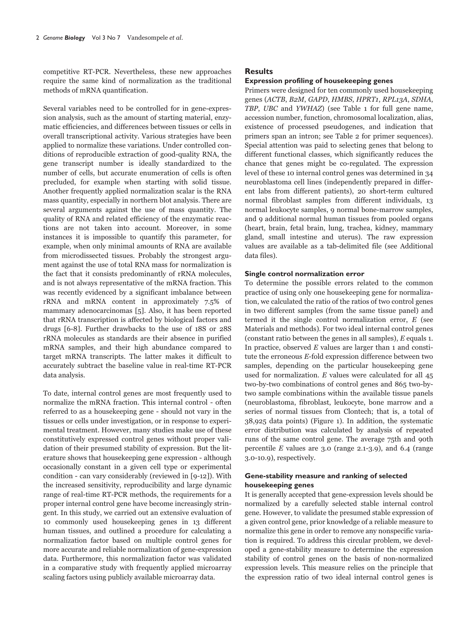competitive RT-PCR. Nevertheless, these new approaches require the same kind of normalization as the traditional methods of mRNA quantification.

Several variables need to be controlled for in gene-expression analysis, such as the amount of starting material, enzymatic efficiencies, and differences between tissues or cells in overall transcriptional activity. Various strategies have been applied to normalize these variations. Under controlled conditions of reproducible extraction of good-quality RNA, the gene transcript number is ideally standardized to the number of cells, but accurate enumeration of cells is often precluded, for example when starting with solid tissue. Another frequently applied normalization scalar is the RNA mass quantity, especially in northern blot analysis. There are several arguments against the use of mass quantity. The quality of RNA and related efficiency of the enzymatic reactions are not taken into account. Moreover, in some instances it is impossible to quantify this parameter, for example, when only minimal amounts of RNA are available from microdissected tissues. Probably the strongest argument against the use of total RNA mass for normalization is the fact that it consists predominantly of rRNA molecules, and is not always representative of the mRNA fraction. This was recently evidenced by a significant imbalance between rRNA and mRNA content in approximately 7.5% of mammary adenocarcinomas [5]. Also, it has been reported that rRNA transcription is affected by biological factors and drugs [6-8]. Further drawbacks to the use of 18S or 28S rRNA molecules as standards are their absence in purified mRNA samples, and their high abundance compared to target mRNA transcripts. The latter makes it difficult to accurately subtract the baseline value in real-time RT-PCR data analysis.

To date, internal control genes are most frequently used to normalize the mRNA fraction. This internal control - often referred to as a housekeeping gene - should not vary in the tissues or cells under investigation, or in response to experimental treatment. However, many studies make use of these constitutively expressed control genes without proper validation of their presumed stability of expression. But the literature shows that housekeeping gene expression - although occasionally constant in a given cell type or experimental condition - can vary considerably (reviewed in [9-12]). With the increased sensitivity, reproducibility and large dynamic range of real-time RT-PCR methods, the requirements for a proper internal control gene have become increasingly stringent. In this study, we carried out an extensive evaluation of 10 commonly used housekeeping genes in 13 different human tissues, and outlined a procedure for calculating a normalization factor based on multiple control genes for more accurate and reliable normalization of gene-expression data. Furthermore, this normalization factor was validated in a comparative study with frequently applied microarray scaling factors using publicly available microarray data.

## **Results**

## **Expression profiling of housekeeping genes**

Primers were designed for ten commonly used house keeping genes (ACTB, B2M, GAPD, HMBS, HPRT1, RPL13A, SDHA, TBP, UBC and YWHAZ) (see Table 1 for full gene name, accession number, function, chromosomal localization, alias, existence of processed pseudogenes, and indication that primers span an intron; see Table 2 for primer sequences). Special attention was paid to selecting genes that belong to different functional classes, which significantly reduces the chance that genes might be co-regulated. The expression level of these 10 internal control genes was determined in 34 neuroblastoma cell lines (independently prepared in different labs from different patients), 20 short-term cultured normal fibroblast samples from different individuals, 13 normal leukocyte samples, 9 normal bone-marrow samples, and 9 additional normal human tissues from pooled organs (heart, brain, fetal brain, lung, trachea, kidney, mammary gland, small intestine and uterus). The raw expression values are available as a tab-delimited file (see Additional data files).

## Single control normalization error

To determine the possible errors related to the common practice of using only one housekeeping gene for normalization, we calculated the ratio of the ratios of two control genes in two different samples (from the same tissue panel) and termed it the single control normalization error,  $E$  (see Materials and methods). For two ideal internal control genes (constant ratio between the genes in all samples),  $E$  equals 1. In practice, observed  $E$  values are larger than 1 and constitute the erroneous E-fold expression difference between two samples, depending on the particular housekeeping gene used for normalization.  $E$  values were calculated for all  $45$ two-by-two combinations of control genes and 865 two-bytwo sample combinations within the available tissue panels (neuroblastoma, fibroblast, leukocyte, bone marrow and a series of normal tissues from Clontech; that is, a total of 38,925 data points) (Figure 1). In addition, the systematic error distribution was calculated by analysis of repeated runs of the same control gene. The average 75th and 90th percentile  $E$  values are 3.0 (range 2.1-3.9), and 6.4 (range 3.0-10.9), respectively.

# Gene-stability measure and ranking of selected housekeeping genes

It is generally accepted that gene-expression levels should be normalized by a carefully selected stable internal control gene. However, to validate the presumed stable expression of a given control gene, prior knowledge of a reliable measure to normalize this gene in order to remove any nonspecific variation is required. To address this circular problem, we developed a gene-stability measure to determine the expression stability of control genes on the basis of non-normalized expression levels. This measure relies on the principle that the expression ratio of two ideal internal control genes is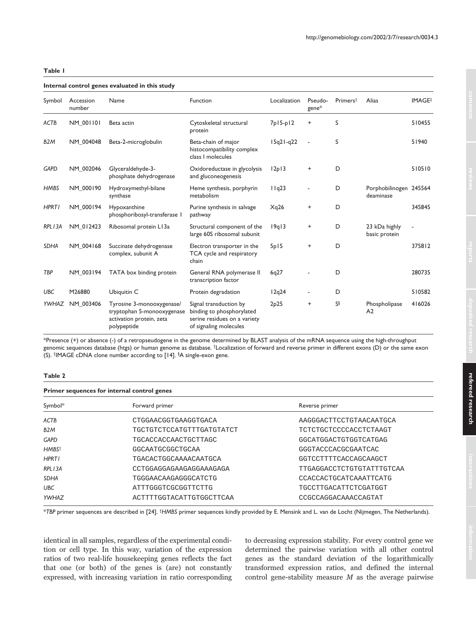# **Table 1**

## **Internal control genes evaluated in this study**

| Symbol           | Accession<br>number | Name                                                                                               | Function                                                                                                      | Localization | Pseudo-<br>$gene*$ | Primers <sup>†</sup> | Alias                               | <b>IMAGE</b> |
|------------------|---------------------|----------------------------------------------------------------------------------------------------|---------------------------------------------------------------------------------------------------------------|--------------|--------------------|----------------------|-------------------------------------|--------------|
| ACTB             | <b>NM 001101</b>    | Beta actin                                                                                         | Cytoskeletal structural<br>protein                                                                            | $7p15-p12$   | $\ddot{}$          | S                    |                                     | 510455       |
| B <sub>2</sub> M | NM 004048           | Beta-2-microglobulin                                                                               | Beta-chain of major<br>histocompatibility complex<br>class I molecules                                        | $15q21-q22$  |                    | S                    |                                     | 51940        |
| <b>GAPD</b>      | NM_002046           | Glyceraldehyde-3-<br>phosphate dehydrogenase                                                       | Oxidoreductase in glycolysis<br>and gluconeogenesis                                                           | 12p13        | $\ddot{}$          | D                    |                                     | 510510       |
| <b>HMBS</b>      | NM 000190           | Hydroxymethyl-bilane<br>synthase                                                                   | Heme synthesis, porphyrin<br>metabolism                                                                       | 11q23        |                    | D                    | Porphobilinogen 245564<br>deaminase |              |
| <b>HPRT1</b>     | NM 000194           | Hypoxanthine<br>phosphoribosyl-transferase I                                                       | Purine synthesis in salvage<br>pathway                                                                        | Xq26         | $\ddot{}$          | D                    |                                     | 345845       |
| RPL13A           | NM 012423           | Ribosomal protein L13a                                                                             | Structural component of the<br>large 60S ribosomal subunit                                                    | 19q13        | $\ddot{}$          | D                    | 23 kDa highly<br>basic protein      |              |
| <b>SDHA</b>      | NM 004168           | Succinate dehydrogenase<br>complex, subunit A                                                      | Electron transporter in the<br>TCA cycle and respiratory<br>chain                                             | 5p15         | $\ddot{}$          | D                    |                                     | 375812       |
| TBP              | NM 003194           | TATA box binding protein                                                                           | General RNA polymerase II<br>transcription factor                                                             | 6q27         |                    | D                    |                                     | 280735       |
| <b>UBC</b>       | M26880              | Ubiquitin C                                                                                        | Protein degradation                                                                                           | 12q24        |                    | D                    |                                     | 510582       |
| YWHAZ            | NM 003406           | Tyrosine 3-monooxygenase/<br>tryptophan 5-monooxygenase<br>activation protein, zeta<br>polypeptide | Signal transduction by<br>binding to phosphorylated<br>serine residues on a variety<br>of signaling molecules | 2p25         | $\ddot{}$          | SŞ                   | Phospholipase<br>A <sub>2</sub>     | 416026       |
|                  |                     |                                                                                                    |                                                                                                               |              |                    |                      |                                     |              |

\*Presence (+) or absence (-) of a retropseudogene in the genome determined by BLAST analysis of the mRNA sequence using the high-throughput genomic sequences database (htgs) or human genome as database. †Localization of forward and reverse primer in different exons (D) or the same exon (S). ‡IMAGE cDNA clone number according to [14]. §A single-exon gene.

## **Table 2**

| Primer sequences for internal control genes |                                  |  |  |  |  |  |  |
|---------------------------------------------|----------------------------------|--|--|--|--|--|--|
| Forward primer                              | Reverse primer                   |  |  |  |  |  |  |
| CTGGAACGGTGAAGGTGACA                        | AAGGGACTTCCTGTAACAATGCA          |  |  |  |  |  |  |
| <b>TGCTGTCTCCATGTTTGATGTATCT</b>            | <b>TCTCTGCTCCCCACCTCTAAGT</b>    |  |  |  |  |  |  |
| <b>TGCACCACCAACTGCTTAGC</b>                 | GGCATGGACTGTGGTCATGAG            |  |  |  |  |  |  |
| GGCAATGCGGCTGCAA                            | GGGTACCCACGCGAATCAC              |  |  |  |  |  |  |
| <b>TGACACTGGCAAAACAATGCA</b>                | GGTCCTTTTCACCAGCAAGCT            |  |  |  |  |  |  |
| CCTGGAGGAGAAGAGGAAAGAGA                     | <b>TTGAGGACCTCTGTGTATTTGTCAA</b> |  |  |  |  |  |  |
| TGGGAACAAGAGGGCATCTG                        | CCACCACTGCATCAAATTCATG           |  |  |  |  |  |  |
| ATTTGGGTCGCGGTTCTTG                         | TGCCTTGACATTCTCGATGGT            |  |  |  |  |  |  |
| ACTTTTGGTACATTGTGGCTTCAA                    | CCGCCAGGACAAACCAGTAT             |  |  |  |  |  |  |
|                                             |                                  |  |  |  |  |  |  |

\**TBP* primer sequences are described in [24]. †*HMBS* primer sequences kindly provided by E. Mensink and L. van de Locht (Nijmegen, The Netherlands).

identical in all samples, regardless of the experimental condition or cell type. In this way, variation of the expression ratios of two real-life housekeeping genes reflects the fact that one (or both) of the genes is (are) not constantly expressed, with increasing variation in ratio corresponding to decreasing expression stability. For every control gene we determined the pairwise variation with all other control genes as the standard deviation of the logarithmically transformed expression ratios, and defined the internal control gene-stability measure  $M$  as the average pairwise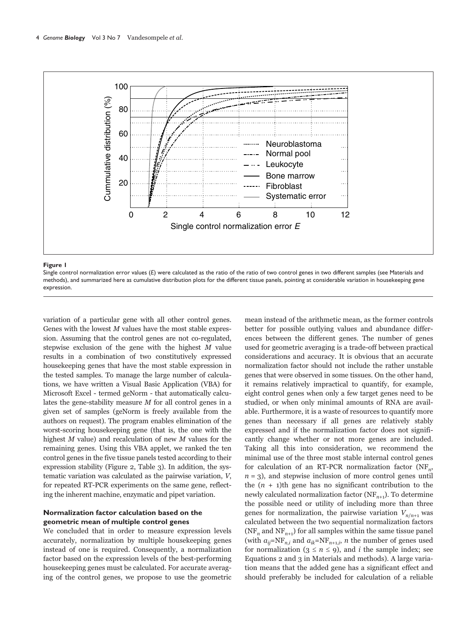

#### Figure I

Single control normalization error values (E) were calculated as the ratio of the ratio of two control genes in two different samples (see Materials and methods), and summarized here as cumulative distribution plots for the different tissue panels, pointing at considerable variation in housekeeping gene expression

variation of a particular gene with all other control genes. Genes with the lowest  $M$  values have the most stable expression. Assuming that the control genes are not co-regulated, stepwise exclusion of the gene with the highest  $M$  value results in a combination of two constitutively expressed housekeeping genes that have the most stable expression in the tested samples. To manage the large number of calculations, we have written a Visual Basic Application (VBA) for Microsoft Excel - termed geNorm - that automatically calculates the gene-stability measure  $M$  for all control genes in a given set of samples (geNorm is freely available from the authors on request). The program enables elimination of the worst-scoring housekeeping gene (that is, the one with the highest  $M$  value) and recalculation of new  $M$  values for the remaining genes. Using this VBA applet, we ranked the ten control genes in the five tissue panels tested according to their expression stability (Figure 2, Table 3). In addition, the systematic variation was calculated as the pairwise variation, V, for repeated RT-PCR experiments on the same gene, reflecting the inherent machine, enzymatic and pipet variation.

# Normalization factor calculation based on the geometric mean of multiple control genes

We concluded that in order to measure expression levels accurately, normalization by multiple housekeeping genes instead of one is required. Consequently, a normalization factor based on the expression levels of the best-performing housekeeping genes must be calculated. For accurate averaging of the control genes, we propose to use the geometric

mean instead of the arithmetic mean, as the former controls better for possible outlying values and abundance differences between the different genes. The number of genes used for geometric averaging is a trade-off between practical considerations and accuracy. It is obvious that an accurate normalization factor should not include the rather unstable genes that were observed in some tissues. On the other hand, it remains relatively impractical to quantify, for example, eight control genes when only a few target genes need to be studied, or when only minimal amounts of RNA are available. Furthermore, it is a waste of resources to quantify more genes than necessary if all genes are relatively stably expressed and if the normalization factor does not significantly change whether or not more genes are included. Taking all this into consideration, we recommend the minimal use of the three most stable internal control genes for calculation of an RT-PCR normalization factor  $(NF_n,$  $n = 3$ ), and stepwise inclusion of more control genes until the  $(n + 1)$ th gene has no significant contribution to the newly calculated normalization factor  $(NF_{n+1})$ . To determine the possible need or utility of including more than three genes for normalization, the pairwise variation  $V_{n/n+1}$  was calculated between the two sequential normalization factors (NF<sub>n</sub> and NF<sub>n+1</sub>) for all samples within the same tissue panel (with  $a_{ij}$ =NF<sub>n,i</sub> and  $a_{ik}$ =NF<sub>n+1,i</sub>, *n* the number of genes used for normalization ( $3 \le n \le 9$ ), and *i* the sample index; see Equations 2 and 3 in Materials and methods). A large variation means that the added gene has a significant effect and should preferably be included for calculation of a reliable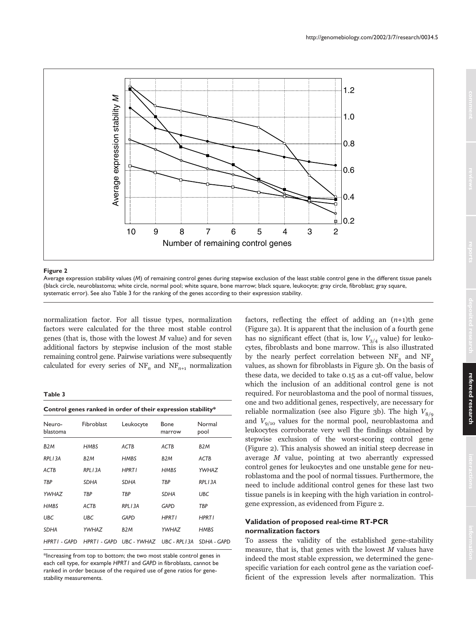

Average expression stability values (*M*) of remaining control genes during stepwise exclusion of the least stable control gene in the different tissue panels (black circle, neuroblastoma; white circle, normal pool; white square, bone marrow; black square, leukocyte; gray circle, fibroblast; gray square, systematic error). See also Table 3 for the ranking of the genes according to their expression stability.

normalization factor. For all tissue types, normalization factors were calculated for the three most stable control genes (that is, those with the lowest  $M$  value) and for seven additional factors by stepwise inclusion of the most stable remaining control gene. Pairwise variations were subsequently calculated for every series of  $NF_n$  and  $NF_{n+1}$  normalization

#### **Table 3**

| Control genes ranked in order of their expression stability* |                  |                                       |                  |                  |  |  |  |  |
|--------------------------------------------------------------|------------------|---------------------------------------|------------------|------------------|--|--|--|--|
| Neuro-<br>blastoma                                           | Fibroblast       | Leukocyte                             | Bone<br>marrow   | Normal<br>pool   |  |  |  |  |
| B <sub>2</sub> M                                             | HMBS             | ACTB                                  | ACTB             | B <sub>2</sub> M |  |  |  |  |
| RPL13A                                                       | B <sub>2</sub> M | <b>HMBS</b>                           | B <sub>2</sub> M | ACTB             |  |  |  |  |
| ACTB                                                         | RPL13A           | <b>HPRT1</b>                          | <b>HMBS</b>      | <b>YWHAZ</b>     |  |  |  |  |
| <b>TBP</b>                                                   | <b>SDHA</b>      | <b>SDHA</b>                           | <b>TBP</b>       | RPL13A           |  |  |  |  |
| YWHAZ                                                        | TBP              | TBP                                   | <b>SDHA</b>      | <b>UBC</b>       |  |  |  |  |
| <b>HMBS</b>                                                  | ACTB             | RPL13A                                | <b>GAPD</b>      | TBP              |  |  |  |  |
| <b>UBC</b>                                                   | <b>UBC</b>       | <b>GAPD</b>                           | <b>HPRT1</b>     | <b>HPRT1</b>     |  |  |  |  |
| <b>SDHA</b>                                                  | YWHAZ            | B <sub>2</sub> M                      | YWHAZ            | <b>HMBS</b>      |  |  |  |  |
| HPRTI - GAPD                                                 |                  | HPRTI - GAPD UBC - YWHAZ UBC - RPLI3A |                  | SDHA - GAPD      |  |  |  |  |

\*Increasing from top to bottom; the two most stable control genes in each cell type, for example *HPRT1* and *GAPD* in fibroblasts, cannot be ranked in order because of the required use of gene ratios for genestability measurements.

factors, reflecting the effect of adding an  $(n+1)$ th gene (Figure 3a). It is apparent that the inclusion of a fourth gene has no significant effect (that is, low  $V_{3/4}$  value) for leukocytes, fibroblasts and bone marrow. This is also illustrated by the nearly perfect correlation between  $\mathrm{NF}_3$  and  $\mathrm{NF}_4$ values, as shown for fibroblasts in Figure 3b. On the basis of these data, we decided to take 0.15 as a cut-off value, below which the inclusion of an additional control gene is not required. For neuroblastoma and the pool of normal tissues, one and two additional genes, respectively, are necessary for reliable normalization (see also Figure 3b). The high  $V_{8/\mathrm{g}}$ and  $V_{9/10}$  values for the normal pool, neuroblastoma and leukocytes corroborate very well the findings obtained by stepwise exclusion of the worst-scoring control gene (Figure 2). This analysis showed an initial steep decrease in average  $M$  value, pointing at two aberrantly expressed control genes for leukocytes and one unstable gene for neuroblastoma and the pool of normal tissues. Furthermore, the need to include additional control genes for these last two tissue panels is in keeping with the high variation in controlgene expression, as evidenced from Figure 2.

# **Validation of proposed real-time RT-PCR normalization factors**

To assess the validity of the established gene-stability measure, that is, that genes with the lowest  $M$  values have indeed the most stable expression, we determined the genespecific variation for each control gene as the variation coefficient of the expression levels after normalization. This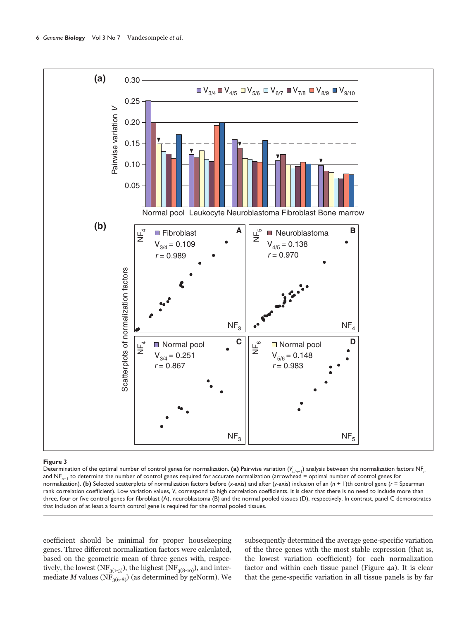

Determination of the optimal number of control genes for normalization. (a) Pairwise variation  $(V_{n/n+1})$  analysis between the normalization factors NF<sub>n</sub> and NF<sub>n+1</sub> to determine the number of control genes required for accurate normalization (arrowhead = optimal number of control genes for normalization). **(b)** Selected scatterplots of normalization factors before (*x*-axis) and after (*y*-axis) inclusion of an (*n* + 1)th control gene (*r* = Spearman rank correlation coefficient). Low variation values, V, correspond to high correlation coefficients. It is clear that there is no need to include more than three, four or five control genes for fibroblast (A), neuroblastoma (B) and the normal pooled tissues (D), respectively. In contrast, panel C demonstrates that inclusion of at least a fourth control gene is required for the normal pooled tissues.

coefficient should be minimal for proper housekeeping genes. Three different normalization factors were calculated, based on the geometric mean of three genes with, respectively, the lowest (NF $_{\rm 3(1\text{-}3)}$ ), the highest (NF $_{\rm 3(8\text{-}10)}$ ), and intermediate  $M$  values (NF $_{\rm 3(6-8)}$ ) (as determined by geNorm). We subsequently determined the average gene-specific variation of the three genes with the most stable expression (that is, the lowest variation coefficient) for each normalization factor and within each tissue panel (Figure 4a). It is clear that the gene-specific variation in all tissue panels is by far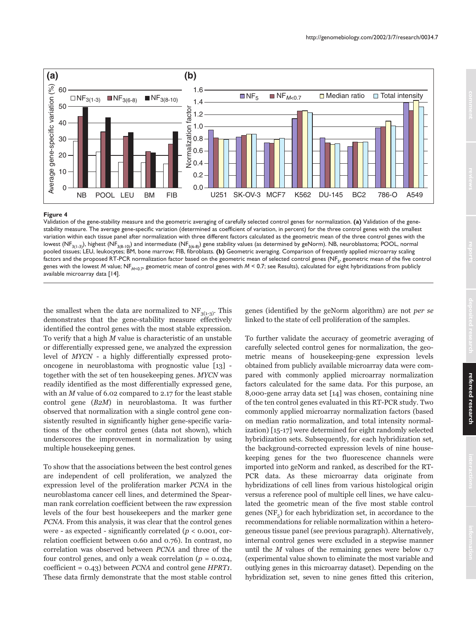

Validation of the gene-stability measure and the geometric averaging of carefully selected control genes for normalization. (a) Validation of the genestability measure. The average gene-specific variation (determined as coefficient of variation, in percent) for the three control genes with the smallest variation within each tissue panel after normalization with three different factors calculated as the geometric mean of the three control genes with the lowest (NF<sub>3(1-3)</sub>), highest (NF<sub>3(8-10)</sub>) and intermediate (NF<sub>3(6-8)</sub>) gene stability values (as determined by geNorm). NB, neuroblastoma; POOL, normal pooled tissues; LEU, leukocytes; BM, bone marrow; FIB, fibroblasts. (b) Geometric averaging. Comparison of frequently applied microarray scaling factors and the proposed RT-PCR normalization factor based on the geometric mean of selected control genes (NF<sub>5</sub>, geometric mean of the five control genes with the lowest M value; NF<sub>M<0.7</sub>, geometric mean of control genes with  $M < 0.7$ ; see Results), calculated for eight hybridizations from publicly available microarray data [14].

the smallest when the data are normalized to  $NF_{3(1-3)}$ . This demonstrates that the gene-stability measure effectively identified the control genes with the most stable expression. To verify that a high M value is characteristic of an unstable or differentially expressed gene, we analyzed the expression level of *MYCN* - a highly differentially expressed protooncogene in neuroblastoma with prognostic value [13] together with the set of ten housekeeping genes. MYCN was readily identified as the most differentially expressed gene, with an  $M$  value of 6.02 compared to 2.17 for the least stable control gene  $(B2M)$  in neuroblastoma. It was further observed that normalization with a single control gene consistently resulted in significantly higher gene-specific variations of the other control genes (data not shown), which underscores the improvement in normalization by using multiple housekeeping genes.

To show that the associations between the best control genes are independent of cell proliferation, we analyzed the expression level of the proliferation marker PCNA in the neuroblastoma cancer cell lines, and determined the Spearman rank correlation coefficient between the raw expression levels of the four best housekeepers and the marker gene PCNA. From this analysis, it was clear that the control genes were - as expected - significantly correlated ( $p < 0.001$ , correlation coefficient between 0.60 and 0.76). In contrast, no correlation was observed between PCNA and three of the four control genes, and only a weak correlation ( $p = 0.024$ , coefficient =  $0.43$ ) between *PCNA* and control gene *HPRT*<sub>1</sub>. These data firmly demonstrate that the most stable control genes (identified by the geNorm algorithm) are not per se linked to the state of cell proliferation of the samples.

To further validate the accuracy of geometric averaging of carefully selected control genes for normalization, the geometric means of housekeeping-gene expression levels obtained from publicly available microarray data were compared with commonly applied microarray normalization factors calculated for the same data. For this purpose, an 8,000-gene array data set [14] was chosen, containing nine of the ten control genes evaluated in this RT-PCR study. Two commonly applied microarray normalization factors (based on median ratio normalization, and total intensity normalization) [15-17] were determined for eight randomly selected hybridization sets. Subsequently, for each hybridization set, the background-corrected expression levels of nine housekeeping genes for the two fluorescence channels were imported into geNorm and ranked, as described for the RT-PCR data. As these microarray data originate from hybridizations of cell lines from various histological origin versus a reference pool of multiple cell lines, we have calculated the geometric mean of the five most stable control genes (NF<sub> $_{\rm g}$ </sub>) for each hybridization set, in accordance to the recommendations for reliable normalization within a heterogeneous tissue panel (see previous paragraph). Alternatively, internal control genes were excluded in a stepwise manner until the  $M$  values of the remaining genes were below 0.7 (experimental value shown to eliminate the most variable and outlying genes in this microarray dataset). Depending on the hybridization set, seven to nine genes fitted this criterion,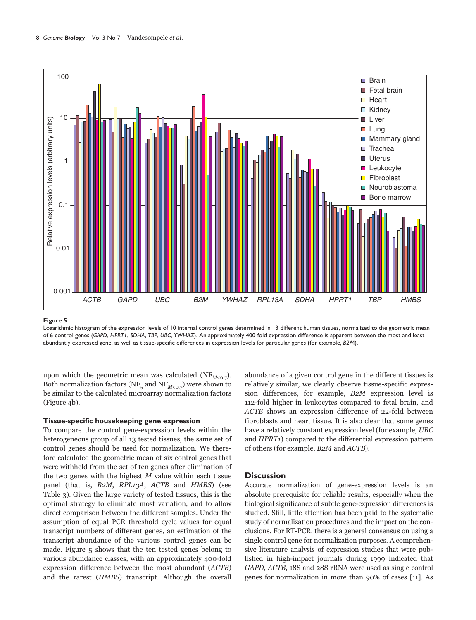

Logarithmic histogram of the expression levels of 10 internal control genes determined in 13 different human tissues, normalized to the geometric mean of 6 control genes (*GAPD*, *HPRT1*, *SDHA*, *TBP*, *UBC*, *YWHAZ*). An approximately 400-fold expression difference is apparent between the most and least abundantly expressed gene, as well as tissue-specific differences in expression levels for particular genes (for example, *B2M*).

upon which the geometric mean was calculated (NF $_{M\leq\rm{O.7}}$ ). Both normalization factors (NF<sub>5</sub> and NF<sub>M<0.7</sub>) were shown to be similar to the calculated microarray normalization factors  $(Figure 4b)$ .

## **Tissue-specific housekeeping gene expression**

To compare the control gene-expression levels within the heterogeneous group of all 13 tested tissues, the same set of control genes should be used for normalization. We therefore calculated the geometric mean of six control genes that were withheld from the set of ten genes after elimination of the two genes with the highest  $M$  value within each tissue panel (that is, *B2M*, *RPL13A, ACTB* and *HMBS*) (see Table 3). Given the large variety of tested tissues, this is the optimal strategy to eliminate most variation, and to allow direct comparison between the different samples. Under the assumption of equal PCR threshold cycle values for equal transcript numbers of different genes, an estimation of the transcript abundance of the various control genes can be made. Figure 5 shows that the ten tested genes belong to various abundance classes, with an approximately 400-fold expression difference between the most abundant (ACTB) and the rarest (*HMBS*) transcript. Although the overall abundance of a given control gene in the different tissues is relatively similar, we clearly observe tissue-specific expression differences, for example, B2M expression level is 112-fold higher in leukocytes compared to fetal brain, and ACTB shows an expression difference of 22-fold between fibroblasts and heart tissue. It is also clear that some genes have a relatively constant expression level (for example,  $\it UBC$ and *HPRT1*) compared to the differential expression pattern of others (for example,  $B2M$  and  $ACTB$ ).

# **Discussion**

Accurate normalization of gene-expression levels is an absolute prerequisite for reliable results, especially when the biological significance of subtle gene-expression differences is studied. Still, little attention has been paid to the systematic study of normalization procedures and the impact on the conclusions. For RT-PCR, there is a general consensus on using a single control gene for normalization purposes. A comprehensive literature analysis of expression studies that were published in high-impact journals during 1999 indicated that GAPD, ACTB, 18S and 28S rRNA were used as single control genes for normalization in more than 90% of cases [11]. As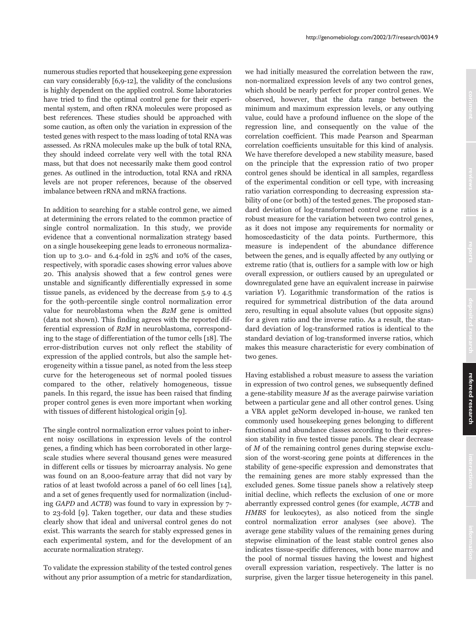numerous studies reported that house keeping gene expression can vary considerably  $[6,9-12]$ , the validity of the conclusions is highly dependent on the applied control. Some laboratories have tried to find the optimal control gene for their experimental system, and often rRNA molecules were proposed as best references. These studies should be approached with some caution, as often only the variation in expression of the tested genes with respect to the mass loading of total RNA was assessed. As rRNA molecules make up the bulk of total RNA, they should indeed correlate very well with the total RNA mass, but that does not necessarily make them good control genes. As outlined in the introduction, total RNA and rRNA levels are not proper references, because of the observed imbalance between rRNA and mRNA fractions.

In addition to searching for a stable control gene, we aimed at determining the errors related to the common practice of single control normalization. In this study, we provide evidence that a conventional normalization strategy based on a single housekeeping gene leads to erroneous normalization up to  $3.0$ - and  $6.4$ -fold in  $25\%$  and  $10\%$  of the cases, respectively, with sporadic cases showing error values above 20. This analysis showed that a few control genes were unstable and significantly differentially expressed in some tissue panels, as evidenced by the decrease from 5.9 to 4.5 for the 90th-percentile single control normalization error value for neuroblastoma when the  $B2M$  gene is omitted (data not shown). This finding agrees with the reported differential expression of B2M in neuroblastoma, corresponding to the stage of differentiation of the tumor cells [18]. The error-distribution curves not only reflect the stability of expression of the applied controls, but also the sample heterogeneity within a tissue panel, as noted from the less steep curve for the heterogeneous set of normal pooled tissues compared to the other, relatively homogeneous, tissue panels. In this regard, the issue has been raised that finding proper control genes is even more important when working with tissues of different histological origin [9].

The single control normalization error values point to inherent noisy oscillations in expression levels of the control genes, a finding which has been corroborated in other largescale studies where several thousand genes were measured in different cells or tissues by microarray analysis. No gene was found on an 8,000-feature array that did not vary by ratios of at least twofold across a panel of 60 cell lines [14], and a set of genes frequently used for normalization (including GAPD and ACTB) was found to vary in expression by 7to 23-fold [9]. Taken together, our data and these studies clearly show that ideal and universal control genes do not exist. This warrants the search for stably expressed genes in each experimental system, and for the development of an accurate normalization strategy.

To validate the expression stability of the tested control genes without any prior assumption of a metric for standardization, we had initially measured the correlation between the raw, non-normalized expression levels of any two control genes. which should be nearly perfect for proper control genes. We observed, however, that the data range between the minimum and maximum expression levels, or any outlying value, could have a profound influence on the slope of the regression line, and consequently on the value of the correlation coefficient. This made Pearson and Spearman correlation coefficients unsuitable for this kind of analysis. We have therefore developed a new stability measure, based on the principle that the expression ratio of two proper control genes should be identical in all samples, regardless of the experimental condition or cell type, with increasing ratio variation corresponding to decreasing expression stability of one (or both) of the tested genes. The proposed standard deviation of log-transformed control gene ratios is a robust measure for the variation between two control genes, as it does not impose any requirements for normality or homoscedasticity of the data points. Furthermore, this measure is independent of the abundance difference between the genes, and is equally affected by any outlying or extreme ratio (that is, outliers for a sample with low or high overall expression, or outliers caused by an upregulated or downregulated gene have an equivalent increase in pairwise variation  $V$ ). Logarithmic transformation of the ratios is required for symmetrical distribution of the data around zero, resulting in equal absolute values (but opposite signs) for a given ratio and the inverse ratio. As a result, the standard deviation of log-transformed ratios is identical to the standard deviation of log-transformed inverse ratios, which makes this measure characteristic for every combination of two genes.

Having established a robust measure to assess the variation in expression of two control genes, we subsequently defined a gene-stability measure  $M$  as the average pairwise variation between a particular gene and all other control genes. Using a VBA applet geNorm developed in-house, we ranked ten commonly used housekeeping genes belonging to different functional and abundance classes according to their expression stability in five tested tissue panels. The clear decrease of  $M$  of the remaining control genes during stepwise exclusion of the worst-scoring gene points at differences in the stability of gene-specific expression and demonstrates that the remaining genes are more stably expressed than the excluded genes. Some tissue panels show a relatively steep initial decline, which reflects the exclusion of one or more aberrantly expressed control genes (for example, *ACTB* and HMBS for leukocytes), as also noticed from the single control normalization error analyses (see above). The average gene stability values of the remaining genes during stepwise elimination of the least stable control genes also indicates tissue-specific differences, with bone marrow and the pool of normal tissues having the lowest and highest overall expression variation, respectively. The latter is no surprise, given the larger tissue heterogeneity in this panel.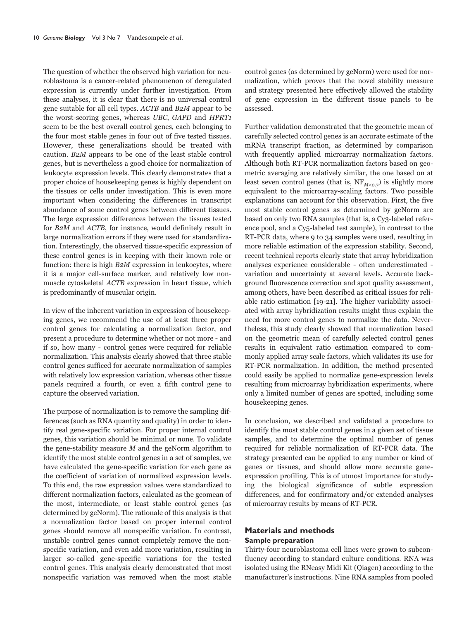The question of whether the observed high variation for neuroblastoma is a cancer-related phenomenon of deregulated expression is currently under further investigation. From these analyses, it is clear that there is no universal control gene suitable for all cell types. ACTB and B2M appear to be the worst-scoring genes, whereas UBC, GAPD and HPRT1 seem to be the best overall control genes, each belonging to the four most stable genes in four out of five tested tissues. However, these generalizations should be treated with caution. B2M appears to be one of the least stable control genes, but is nevertheless a good choice for normalization of leukocyte expression levels. This clearly demonstrates that a proper choice of housekeeping genes is highly dependent on the tissues or cells under investigation. This is even more important when considering the differences in transcript abundance of some control genes between different tissues. The large expression differences between the tissues tested for B2M and ACTB, for instance, would definitely result in large normalization errors if they were used for standardization. Interestingly, the observed tissue-specific expression of these control genes is in keeping with their known role or function: there is high B2M expression in leukocytes, where it is a major cell-surface marker, and relatively low nonmuscle cytoskeletal ACTB expression in heart tissue, which is predominantly of muscular origin.

In view of the inherent variation in expression of housekeeping genes, we recommend the use of at least three proper control genes for calculating a normalization factor, and present a procedure to determine whether or not more - and if so, how many - control genes were required for reliable normalization. This analysis clearly showed that three stable control genes sufficed for accurate normalization of samples with relatively low expression variation, whereas other tissue panels required a fourth, or even a fifth control gene to capture the observed variation.

The purpose of normalization is to remove the sampling differences (such as RNA quantity and quality) in order to identify real gene-specific variation. For proper internal control genes, this variation should be minimal or none. To validate the gene-stability measure  $M$  and the geNorm algorithm to identify the most stable control genes in a set of samples, we have calculated the gene-specific variation for each gene as the coefficient of variation of normalized expression levels. To this end, the raw expression values were standardized to different normalization factors, calculated as the geomean of the most, intermediate, or least stable control genes (as determined by geNorm). The rationale of this analysis is that a normalization factor based on proper internal control genes should remove all nonspecific variation. In contrast, unstable control genes cannot completely remove the nonspecific variation, and even add more variation, resulting in larger so-called gene-specific variations for the tested control genes. This analysis clearly demonstrated that most nonspecific variation was removed when the most stable

control genes (as determined by geNorm) were used for normalization, which proves that the novel stability measure and strategy presented here effectively allowed the stability of gene expression in the different tissue panels to be assessed.

Further validation demonstrated that the geometric mean of carefully selected control genes is an accurate estimate of the mRNA transcript fraction, as determined by comparison with frequently applied microarray normalization factors. Although both RT-PCR normalization factors based on geometric averaging are relatively similar, the one based on at least seven control genes (that is,  $NF_{M<0.7}$ ) is slightly more equivalent to the microarray-scaling factors. Two possible explanations can account for this observation. First, the five most stable control genes as determined by geNorm are based on only two RNA samples (that is, a Cy3-labeled reference pool, and a Cy5-labeled test sample), in contrast to the RT-PCR data, where 9 to 34 samples were used, resulting in more reliable estimation of the expression stability. Second, recent technical reports clearly state that array hybridization analyses experience considerable - often underestimated variation and uncertainty at several levels. Accurate background fluorescence correction and spot quality assessment, among others, have been described as critical issues for reliable ratio estimation [19-21]. The higher variability associated with array hybridization results might thus explain the need for more control genes to normalize the data. Nevertheless, this study clearly showed that normalization based on the geometric mean of carefully selected control genes results in equivalent ratio estimation compared to commonly applied array scale factors, which validates its use for RT-PCR normalization. In addition, the method presented could easily be applied to normalize gene-expression levels resulting from microarray hybridization experiments, where only a limited number of genes are spotted, including some housekeeping genes.

In conclusion, we described and validated a procedure to identify the most stable control genes in a given set of tissue samples, and to determine the optimal number of genes required for reliable normalization of RT-PCR data. The strategy presented can be applied to any number or kind of genes or tissues, and should allow more accurate geneexpression profiling. This is of utmost importance for studying the biological significance of subtle expression differences, and for confirmatory and/or extended analyses of microarray results by means of RT-PCR.

# **Materials and methods Sample preparation**

Thirty-four neuroblastoma cell lines were grown to subconfluency according to standard culture conditions. RNA was isolated using the RNeasy Midi Kit (Qiagen) according to the manufacturer's instructions. Nine RNA samples from pooled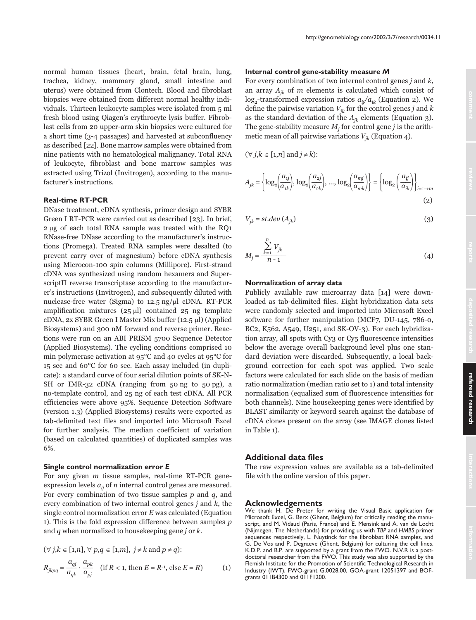normal human tissues (heart, brain, fetal brain, lung, trachea, kidney, mammary gland, small intestine and uterus) were obtained from Clontech. Blood and fibroblast biopsies were obtained from different normal healthy individuals. Thirteen leukocyte samples were isolated from 5 ml fresh blood using Qiagen's erythrocyte lysis buffer. Fibroblast cells from 20 upper-arm skin biopsies were cultured for a short time (3-4 passages) and harvested at subconfluency as described [22]. Bone marrow samples were obtained from nine patients with no hematological malignancy. Total RNA of leukocyte, fibroblast and bone marrow samples was extracted using Trizol (Invitrogen), according to the manufacturer's instructions.

## **Real-time RT-PCR**

DNase treatment, cDNA synthesis, primer design and SYBR Green I RT-PCR were carried out as described [23]. In brief, 2 µg of each total RNA sample was treated with the RQ1 RNase-free DNase according to the manufacturer's instructions (Promega). Treated RNA samples were desalted (to prevent carry over of magnesium) before cDNA synthesis using Microcon-100 spin columns (Millipore). First-strand cDNA was synthesized using random hexamers and SuperscriptII reverse transcriptase according to the manufacturer's instructions (Invitrogen), and subsequently diluted with nuclease-free water (Sigma) to 12.5 ng/µl cDNA. RT-PCR amplification mixtures  $(25 \text{ µ})$  contained  $25 \text{ ng template}$ cDNA, 2x SYBR Green I Master Mix buffer (12.5 µl) (Applied Biosystems) and 300 nM forward and reverse primer. Reactions were run on an ABI PRISM 5700 Sequence Detector (Applied Biosystems). The cycling conditions comprised 10 min polymerase activation at 95°C and 40 cycles at 95°C for 15 sec and 60°C for 60 sec. Each assay included (in duplicate): a standard curve of four serial dilution points of SK-N-SH or IMR-32 cDNA (ranging from 50 ng to 50 pg), a no-template control, and 25 ng of each test cDNA. All PCR efficiencies were above 95%. Sequence Detection Software (version 1.3) (Applied Biosystems) results were exported as tab-delimited text files and imported into Microsoft Excel for further analysis. The median coefficient of variation (based on calculated quantities) of duplicated samples was 6%.

## Single control normalization error E

For any given  $m$  tissue samples, real-time RT-PCR geneexpression levels  $a_{ii}$  of *n* internal control genes are measured. For every combination of two tissue samples  $p$  and  $q$ , and every combination of two internal control genes  $j$  and  $k$ , the single control normalization error  $E$  was calculated (Equation 1). This is the fold expression difference between samples  $p$ and  $q$  when normalized to housekeeping gene  $j$  or  $k$ .

$$
(\forall j, k \in [1, n], \forall p, q \in [1, m], j \neq k \text{ and } p \neq q):
$$
  

$$
R_{jkpq} = \frac{a_{qi}}{a_{qk}} \cdot \frac{a_{pk}}{a_{pj}} \quad \text{(if } R < 1 \text{, then } E = R^{-1} \text{, else } E = R)
$$
 (1)

#### Internal control gene-stability measure M

For every combination of two internal control genes  $j$  and  $k$ , an array  $A_{ik}$  of m elements is calculated which consist of  $\log_2$ -transformed expression ratios  $a_{ij}/a_{ik}$  (Equation 2). We define the pairwise variation  $V_{ik}$  for the control genes j and k as the standard deviation of the  $A_{ik}$  elements (Equation 3). The gene-stability measure  $M_i$  for control gene j is the arithmetic mean of all pairwise variations  $V_{ik}$  (Equation 4).

 $(\forall j, k \in [1, n] \text{ and } j \neq k)$ :

$$
A_{jk} = \left\{ \log_2 \left( \frac{a_{ij}}{a_{1k}} \right), \log_2 \left( \frac{a_{2j}}{a_{2k}} \right), \dots, \log_2 \left( \frac{a_{mj}}{a_{mk}} \right) \right\} = \left\{ \log_2 \left( \frac{a_{ij}}{a_{ik}} \right) \right\}_{i=1 \to m}
$$
\n(2)

$$
V_{jk} = st. dev (A_{jk})
$$
 (3)

$$
M_j = \frac{\sum_{k=1}^{n} V_{jk}}{n-1}
$$
 (4)

## Normalization of array data

Publicly available raw microarray data [14] were downloaded as tab-delimited files. Eight hybridization data sets were randomly selected and imported into Microsoft Excel software for further manipulation (MCF7, DU-145, 786-0, BC2, K562, A549, U251, and SK-OV-3). For each hybridization array, all spots with Cy3 or Cy5 fluorescence intensities below the average overall background level plus one standard deviation were discarded. Subsequently, a local background correction for each spot was applied. Two scale factors were calculated for each slide on the basis of median ratio normalization (median ratio set to 1) and total intensity normalization (equalized sum of fluorescence intensities for both channels). Nine house keeping genes were identified by BLAST similarity or keyword search against the database of cDNA clones present on the array (see IMAGE clones listed in Table 1).

# **Additional data files**

The raw expression values are available as a tab-delimited file with the online version of this paper.

#### **Acknowledgements**

We thank H. De Preter for writing the Visual Basic application for Microsoft Excel, G. Berx (Ghent, Belgium) for critically reading the manuscript, and M. Vidaud (Paris, France) and E. Mensink and A. van de Locht (Nijmegen, The Netherlands) for providing us with TBP and HMBS primer sequences respectively, L. Nuytinck for the fibroblast RNA samples, and G. De Vos and P. Degraeve (Ghent, Belgium) for culturing the cell lines. K.D.P. and B.P. are supported by a grant from the FWO. N.V.R is a post-<br>doctoral researcher from the FWO. This study was also supported by the Flemish Institute for the Promotion of Scientific Technological Research in Industry (IWT), FWO-grant G.0028.00, GOA-grant 12051397 and BOFgrants 011B4300 and 011F1200.